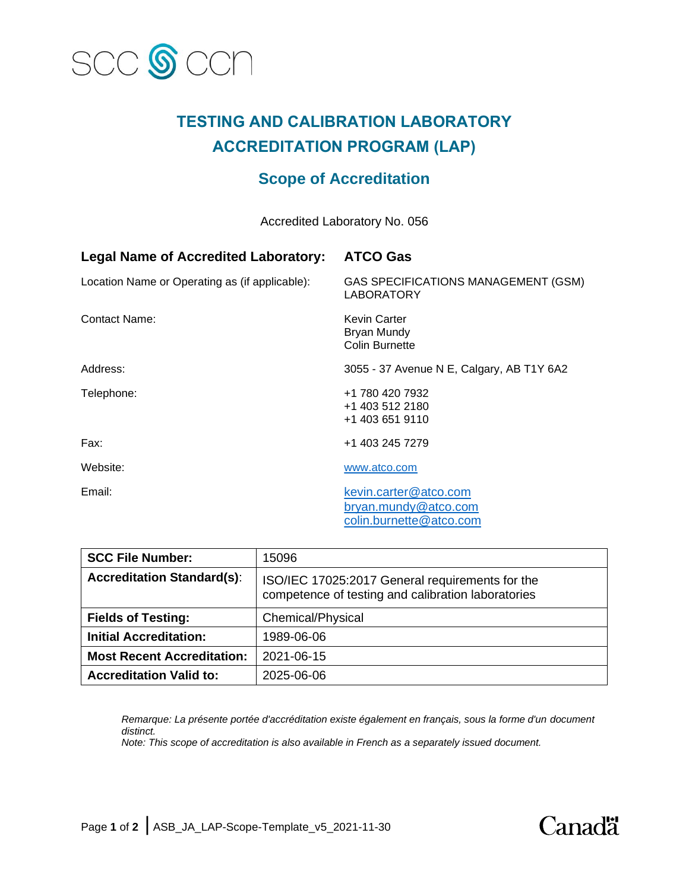

# **TESTING AND CALIBRATION LABORATORY ACCREDITATION PROGRAM (LAP)**

## **Scope of Accreditation**

Accredited Laboratory No. 056

| <b>Legal Name of Accredited Laboratory:</b>    | <b>ATCO Gas</b>                                                          |
|------------------------------------------------|--------------------------------------------------------------------------|
| Location Name or Operating as (if applicable): | GAS SPECIFICATIONS MANAGEMENT (GSM)<br>LABORATORY                        |
| <b>Contact Name:</b>                           | <b>Kevin Carter</b><br>Bryan Mundy<br><b>Colin Burnette</b>              |
| Address:                                       | 3055 - 37 Avenue N E, Calgary, AB T1Y 6A2                                |
| Telephone:                                     | +1 780 420 7932<br>+1 403 512 2180<br>+1 403 651 9110                    |
| Fax:                                           | +1 403 245 7279                                                          |
| Website:                                       | www.atco.com                                                             |
| Email:                                         | kevin.carter@atco.com<br>bryan.mundy@atco.com<br>colin.burnette@atco.com |

| <b>SCC File Number:</b>           | 15096                                                                                                 |
|-----------------------------------|-------------------------------------------------------------------------------------------------------|
| <b>Accreditation Standard(s):</b> | ISO/IEC 17025:2017 General requirements for the<br>competence of testing and calibration laboratories |
| <b>Fields of Testing:</b>         | Chemical/Physical                                                                                     |
| <b>Initial Accreditation:</b>     | 1989-06-06                                                                                            |
| <b>Most Recent Accreditation:</b> | 2021-06-15                                                                                            |
| <b>Accreditation Valid to:</b>    | 2025-06-06                                                                                            |

*Remarque: La présente portée d'accréditation existe également en français, sous la forme d'un document distinct.*

*Note: This scope of accreditation is also available in French as a separately issued document.*